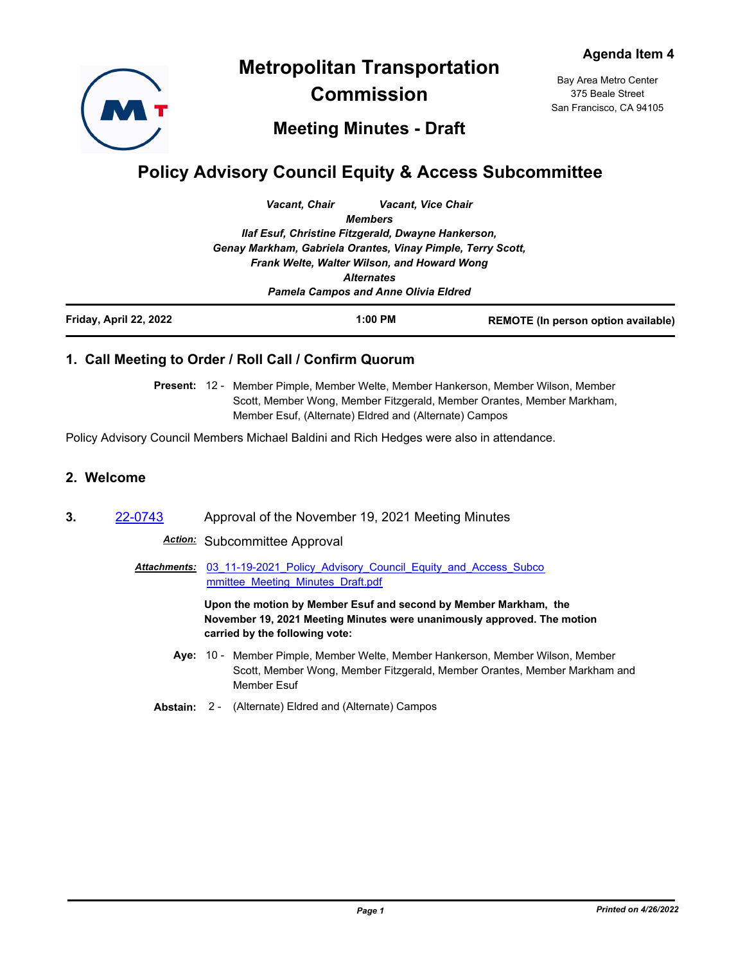

**Metropolitan Transportation Commission**

Bay Area Metro Center 375 Beale Street San Francisco, CA 94105

# **Meeting Minutes - Draft**

# **Policy Advisory Council Equity & Access Subcommittee**

|                                                                                                                                                                  | Vacant, Chair | <b>Vacant, Vice Chair</b> |                                            |  |                                             |                   |  |
|------------------------------------------------------------------------------------------------------------------------------------------------------------------|---------------|---------------------------|--------------------------------------------|--|---------------------------------------------|-------------------|--|
|                                                                                                                                                                  |               | <b>Members</b>            |                                            |  |                                             |                   |  |
| Ilaf Esuf, Christine Fitzgerald, Dwayne Hankerson,<br>Genay Markham, Gabriela Orantes, Vinay Pimple, Terry Scott,<br>Frank Welte, Walter Wilson, and Howard Wong |               |                           |                                            |  |                                             |                   |  |
|                                                                                                                                                                  |               |                           |                                            |  |                                             | <b>Alternates</b> |  |
|                                                                                                                                                                  |               |                           |                                            |  | <b>Pamela Campos and Anne Olivia Eldred</b> |                   |  |
| Friday, April 22, 2022                                                                                                                                           |               | $1:00$ PM                 | <b>REMOTE (In person option available)</b> |  |                                             |                   |  |

## **1. Call Meeting to Order / Roll Call / Confirm Quorum**

Present: 12 - Member Pimple, Member Welte, Member Hankerson, Member Wilson, Member Scott, Member Wong, Member Fitzgerald, Member Orantes, Member Markham, Member Esuf, (Alternate) Eldred and (Alternate) Campos

Policy Advisory Council Members Michael Baldini and Rich Hedges were also in attendance.

#### **2. Welcome**

**3.** [22-0743](http://mtc.legistar.com/gateway.aspx?m=l&id=/matter.aspx?key=24002) Approval of the November 19, 2021 Meeting Minutes

*Action:* Subcommittee Approval

Attachments: 03 11-19-2021 Policy Advisory Council Equity and Access Subco mmittee\_Meeting\_Minutes\_Draft.pdf

> **Upon the motion by Member Esuf and second by Member Markham, the November 19, 2021 Meeting Minutes were unanimously approved. The motion carried by the following vote:**

- Aye: 10 Member Pimple, Member Welte, Member Hankerson, Member Wilson, Member Scott, Member Wong, Member Fitzgerald, Member Orantes, Member Markham and Member Esuf
- **Abstain:** 2 (Alternate) Eldred and (Alternate) Campos